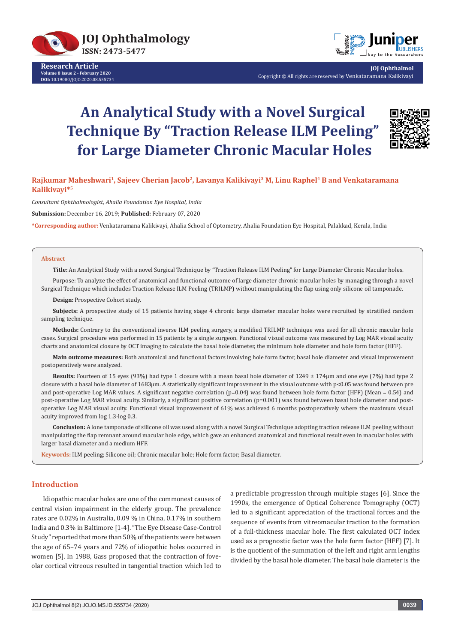



**JOJ Ophthalmol** Copyright © All rights are reserved by Venkataramana Kalikivayi

# **An Analytical Study with a Novel Surgical Technique By "Traction Release ILM Peeling" for Large Diameter Chronic Macular Holes**



# **Rajkumar Maheshwari1, Sajeev Cherian Jacob2, Lavanya Kalikivayi3 M, Linu Raphel4 B and Venkataramana Kalikivayi\*5**

*Consultant Ophthalmologist, Ahalia Foundation Eye Hospital, India*

**Submission:** December 16, 2019; **Published:** February 07, 2020

**\*Corresponding author:** Venkataramana Kalikivayi, Ahalia School of Optometry, Ahalia Foundation Eye Hospital, Palakkad, Kerala, India

#### **Abstract**

**Title:** An Analytical Study with a novel Surgical Technique by "Traction Release ILM Peeling" for Large Diameter Chronic Macular holes.

Purpose: To analyze the effect of anatomical and functional outcome of large diameter chronic macular holes by managing through a novel Surgical Technique which includes Traction Release ILM Peeling (TRILMP) without manipulating the flap using only silicone oil tamponade.

**Design:** Prospective Cohort study.

**Subjects:** A prospective study of 15 patients having stage 4 chronic large diameter macular holes were recruited by stratified random sampling technique.

**Methods:** Contrary to the conventional inverse ILM peeling surgery, a modified TRILMP technique was used for all chronic macular hole cases. Surgical procedure was performed in 15 patients by a single surgeon. Functional visual outcome was measured by Log MAR visual acuity charts and anatomical closure by OCT imaging to calculate the basal hole diameter, the minimum hole diameter and hole form factor (HFF).

**Main outcome measures:** Both anatomical and functional factors involving hole form factor, basal hole diameter and visual improvement postoperatively were analyzed.

**Results:** Fourteen of 15 eyes (93%) had type 1 closure with a mean basal hole diameter of 1249 ± 174μm and one eye (7%) had type 2 closure with a basal hole diameter of 1683μm. A statistically significant improvement in the visual outcome with p<0.05 was found between pre and post-operative Log MAR values. A significant negative correlation ( $p=0.04$ ) was found between hole form factor (HFF) (Mean = 0.54) and post-operative Log MAR visual acuity. Similarly, a significant positive correlation (p=0.001) was found between basal hole diameter and postoperative Log MAR visual acuity. Functional visual improvement of 61% was achieved 6 months postoperatively where the maximum visual acuity improved from log 1.3-log 0.3.

**Conclusion:** A lone tamponade of silicone oil was used along with a novel Surgical Technique adopting traction release ILM peeling without manipulating the flap remnant around macular hole edge, which gave an enhanced anatomical and functional result even in macular holes with larger basal diameter and a medium HFF.

**Keywords:** ILM peeling; Silicone oil; Chronic macular hole; Hole form factor; Basal diameter.

# **Introduction**

Idiopathic macular holes are one of the commonest causes of central vision impairment in the elderly group. The prevalence rates are 0.02% in Australia, 0.09 % in China, 0.17% in southern India and 0.3% in Baltimore [1-4]. "The Eye Disease Case-Control Study" reported that more than 50% of the patients were between the age of 65–74 years and 72% of idiopathic holes occurred in women [5]. In 1988, Gass proposed that the contraction of foveolar cortical vitreous resulted in tangential traction which led to

a predictable progression through multiple stages [6]. Since the 1990s, the emergence of Optical Coherence Tomography (OCT) led to a significant appreciation of the tractional forces and the sequence of events from vitreomacular traction to the formation of a full-thickness macular hole. The first calculated OCT index used as a prognostic factor was the hole form factor (HFF) [7]. It is the quotient of the summation of the left and right arm lengths divided by the basal hole diameter. The basal hole diameter is the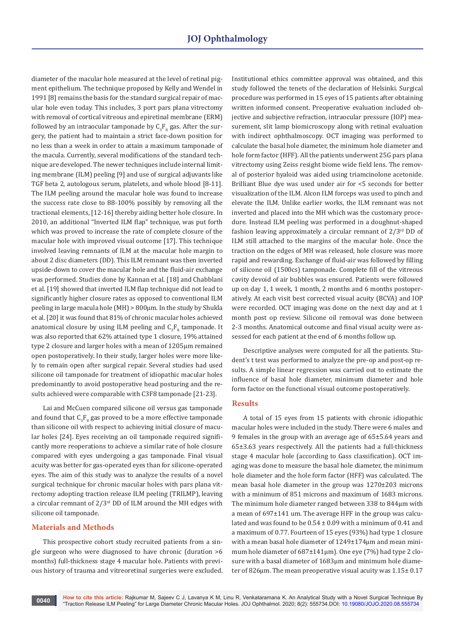diameter of the macular hole measured at the level of retinal pigment epithelium. The technique proposed by Kelly and Wendel in 1991 [8] remains the basis for the standard surgical repair of macular hole even today. This includes, 3 port pars plana vitrectomy with removal of cortical vitreous and epiretinal membrane (ERM) followed by an intraocular tamponade by  $\mathsf{C_3F_8}$  gas. After the surgery, the patient had to maintain a strict face-down position for no less than a week in order to attain a maximum tamponade of the macula. Currently, several modifications of the standard technique are developed. The newer techniques include internal limiting membrane (ILM) peeling [9] and use of surgical adjuvants like TGF beta 2, autologous serum, platelets, and whole blood [8-11]. The ILM peeling around the macular hole was found to increase the success rate close to 88-100% possibly by removing all the tractional elements, [12-16] thereby aiding better hole closure. In 2010, an additional "Inverted ILM flap" technique, was put forth which was proved to increase the rate of complete closure of the macular hole with improved visual outcome [17]. This technique involved leaving remnants of ILM at the macular hole margin to about 2 disc diameters (DD). This ILM remnant was then inverted upside-down to cover the macular hole and the fluid-air exchange was performed. Studies done by Kannan et al. [18] and Chabblani et al. [19] showed that inverted ILM flap technique did not lead to significantly higher closure rates as opposed to conventional ILM peeling in large macula hole (MH) > 800μm. In the study by Shukla et al. [20] it was found that 81% of chronic macular holes achieved anatomical closure by using ILM peeling and  $C_3F_8$  tamponade. It was also reported that 62% attained type 1 closure, 19% attained type 2 closure and larger holes with a mean of 1205μm remained open postoperatively. In their study, larger holes were more likely to remain open after surgical repair. Several studies had used silicone oil tamponade for treatment of idiopathic macular holes predominantly to avoid postoperative head posturing and the results achieved were comparable with C3F8 tamponade [21-23].

Lai and McCuen compared silicone oil versus gas tamponade and found that  $C_3F_8$  gas proved to be a more effective tamponade than silicone oil with respect to achieving initial closure of macular holes [24]. Eyes receiving an oil tamponade required significantly more reoperations to achieve a similar rate of hole closure compared with eyes undergoing a gas tamponade. Final visual acuity was better for gas-operated eyes than for silicone-operated eyes. The aim of this study was to analyze the results of a novel surgical technique for chronic macular holes with pars plana vitrectomy adopting traction release ILM peeling (TRILMP), leaving a circular remnant of  $2/3^{rd}$  DD of ILM around the MH edges with silicone oil tamponade.

# **Materials and Methods**

This prospective cohort study recruited patients from a single surgeon who were diagnosed to have chronic (duration >6 months) full-thickness stage 4 macular hole. Patients with previous history of trauma and vitreoretinal surgeries were excluded. Institutional ethics committee approval was obtained, and this study followed the tenets of the declaration of Helsinki. Surgical procedure was performed in 15 eyes of 15 patients after obtaining written informed consent. Preoperative evaluation included objective and subjective refraction, intraocular pressure (IOP) measurement, slit lamp biomicroscopy along with retinal evaluation with indirect ophthalmoscopy. OCT imaging was performed to calculate the basal hole diameter, the minimum hole diameter and hole form factor (HFF). All the patients underwent 25G pars plana vitrectomy using Zeiss resight biome wide field lens. The removal of posterior hyaloid was aided using triamcinolone acetonide. Brilliant Blue dye was used under air for <5 seconds for better visualization of the ILM. Alcon ILM forceps was used to pinch and elevate the ILM. Unlike earlier works, the ILM remnant was not inverted and placed into the MH which was the customary procedure. Instead ILM peeling was performed in a doughnut-shaped fashion leaving approximately a circular remnant of 2/3rd DD of ILM still attached to the margins of the macular hole. Once the traction on the edges of MH was released, hole closure was more rapid and rewarding. Exchange of fluid-air was followed by filling of silicone oil (1500cs) tamponade. Complete fill of the vitreous cavity devoid of air bubbles was ensured. Patients were followed up on day 1, 1 week, 1 month, 2 months and 6 months postoperatively. At each visit best corrected visual acuity (BCVA) and IOP were recorded. OCT imaging was done on the next day and at 1 month post op review. Silicone oil removal was done between 2-3 months. Anatomical outcome and final visual acuity were assessed for each patient at the end of 6 months follow up.

Descriptive analyses were computed for all the patients. Student's t test was performed to analyze the pre-op and post-op results. A simple linear regression was carried out to estimate the influence of basal hole diameter, minimum diameter and hole form factor on the functional visual outcome postoperatively.

#### **Results**

A total of 15 eyes from 15 patients with chronic idiopathic macular holes were included in the study. There were 6 males and 9 females in the group with an average age of 65±5.64 years and 65±3.63 years respectively. All the patients had a full-thickness stage 4 macular hole (according to Gass classification). OCT imaging was done to measure the basal hole diameter, the minimum hole diameter and the hole form factor (HFF) was calculated. The mean basal hole diameter in the group was 1270±203 microns with a minimum of 851 microns and maximum of 1683 microns. The minimum hole diameter ranged between 338 to 844μm with a mean of 697±141 um. The average HFF in the group was calculated and was found to be  $0.54 \pm 0.09$  with a minimum of 0.41 and a maximum of 0.77. Fourteen of 15 eyes (93%) had type 1 closure with a mean basal hole diameter of 1249±174μm and mean minimum hole diameter of 687±141μm). One eye (7%) had type 2 closure with a basal diameter of 1683μm and minimum hole diameter of 826μm. The mean preoperative visual acuity was 1.15± 0.17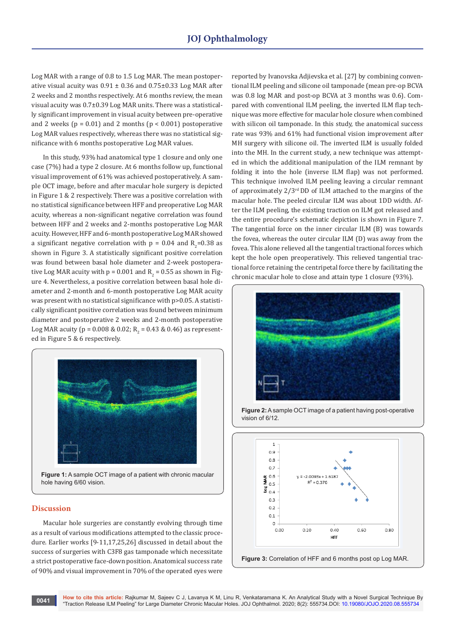Log MAR with a range of 0.8 to 1.5 Log MAR. The mean postoperative visual acuity was  $0.91 \pm 0.36$  and  $0.75 \pm 0.33$  Log MAR after 2 weeks and 2 months respectively. At 6 months review, the mean visual acuity was 0.7±0.39 Log MAR units. There was a statistically significant improvement in visual acuity between pre-operative and 2 weeks ( $p = 0.01$ ) and 2 months ( $p < 0.001$ ) postoperative Log MAR values respectively, whereas there was no statistical significance with 6 months postoperative Log MAR values.

In this study, 93% had anatomical type 1 closure and only one case (7%) had a type 2 closure. At 6 months follow up, functional visual improvement of 61% was achieved postoperatively. A sample OCT image, before and after macular hole surgery is depicted in Figure 1 & 2 respectively. There was a positive correlation with no statistical significance between HFF and preoperative Log MAR acuity, whereas a non-significant negative correlation was found between HFF and 2 weeks and 2-months postoperative Log MAR acuity. However, HFF and 6-month postoperative Log MAR showed a significant negative correlation with  $p = 0.04$  and  $R_2 = 0.38$  as shown in Figure 3. A statistically significant positive correlation was found between basal hole diameter and 2-week postoperative Log MAR acuity with  $p = 0.001$  and  $R_2 = 0.55$  as shown in Figure 4. Nevertheless, a positive correlation between basal hole diameter and 2-month and 6-month postoperative Log MAR acuity was present with no statistical significance with p>0.05. A statistically significant positive correlation was found between minimum diameter and postoperative 2 weeks and 2-month postoperative Log MAR acuity (p =  $0.008$  &  $0.02$ ; R<sub>2</sub> = 0.43 & 0.46) as represented in Figure 5 & 6 respectively.



**Figure 1:** A sample OCT image of a patient with chronic macular hole having 6/60 vision.

# **Discussion**

Macular hole surgeries are constantly evolving through time as a result of various modifications attempted to the classic procedure. Earlier works [9-11,17,25,26] discussed in detail about the success of surgeries with C3F8 gas tamponade which necessitate a strict postoperative face-down position. Anatomical success rate of 90% and visual improvement in 70% of the operated eyes were

reported by Ivanovska Adjievska et al. [27] by combining conventional ILM peeling and silicone oil tamponade (mean pre-op BCVA was 0.8 log MAR and post-op BCVA at 3 months was 0.6). Compared with conventional ILM peeling, the inverted ILM flap technique was more effective for macular hole closure when combined with silicon oil tamponade. In this study, the anatomical success rate was 93% and 61% had functional vision improvement after MH surgery with silicone oil. The inverted ILM is usually folded into the MH. In the current study, a new technique was attempted in which the additional manipulation of the ILM remnant by folding it into the hole (inverse ILM flap) was not performed. This technique involved ILM peeling leaving a circular remnant of approximately  $2/3^{rd}$  DD of ILM attached to the margins of the macular hole. The peeled circular ILM was about 1DD width. After the ILM peeling, the existing traction on ILM got released and the entire procedure's schematic depiction is shown in Figure 7. The tangential force on the inner circular ILM (B) was towards the fovea, whereas the outer circular ILM (D) was away from the fovea. This alone relieved all the tangential tractional forces which kept the hole open preoperatively. This relieved tangential tractional force retaining the centripetal force there by facilitating the chronic macular hole to close and attain type 1 closure (93%).







**How to cite this article:** Rajkumar M, Sajeev C J, Lavanya K M, Linu R, Venkataramana K. An Analytical Study with a Novel Surgical Technique By "Traction Release ILM Peeling" for Large Diameter Chronic Macular Holes. JOJ Ophthalmol. 2020; 8(2): 555734.DOI: [10.19080/JOJO.2020.08.55573](http://dx.doi.org/10.19080/JOJO.2020.08.555734)4 **<sup>0041</sup>**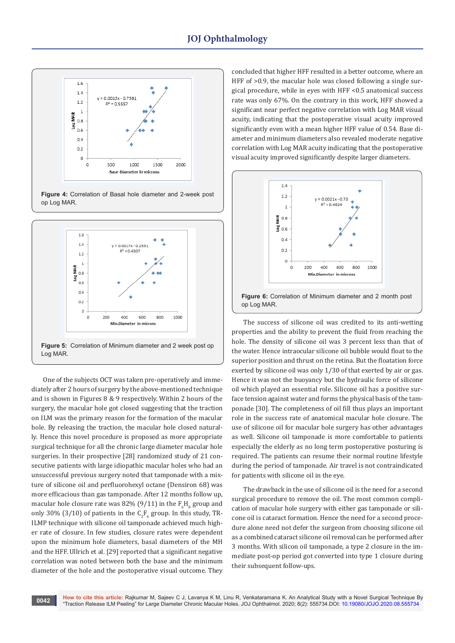

**Figure 4:** Correlation of Basal hole diameter and 2-week post op Log MAR.



One of the subjects OCT was taken pre-operatively and immediately after 2 hours of surgery by the above-mentioned technique and is shown in Figures 8 & 9 respectively. Within 2 hours of the surgery, the macular hole got closed suggesting that the traction on ILM was the primary reason for the formation of the macular hole. By releasing the traction, the macular hole closed naturally. Hence this novel procedure is proposed as more appropriate surgical technique for all the chronic large diameter macular hole surgeries. In their prospective [28] randomized study of 21 consecutive patients with large idiopathic macular holes who had an unsuccessful previous surgery noted that tamponade with a mixture of silicone oil and perfluorohexyl octane (Densiron 68) was more efficacious than gas tamponade. After 12 months follow up, macular hole closure rate was 82% (9/11) in the  $\rm F_{6}H_{8}$  group and only 30% (3/10) of patients in the  $C_2F_6$  group. In this study, TR-ILMP technique with silicone oil tamponade achieved much higher rate of closure. In few studies, closure rates were dependent upon the minimum hole diameters, basal diameters of the MH and the HFF. Ullrich et al. [29] reported that a significant negative correlation was noted between both the base and the minimum diameter of the hole and the postoperative visual outcome. They

concluded that higher HFF resulted in a better outcome, where an HFF of >0.9, the macular hole was closed following a single surgical procedure, while in eyes with HFF <0.5 anatomical success rate was only 67%. On the contrary in this work, HFF showed a significant near perfect negative correlation with Log MAR visual acuity, indicating that the postoperative visual acuity improved significantly even with a mean higher HFF value of 0.54. Base diameter and minimum diameters also revealed moderate negative correlation with Log MAR acuity indicating that the postoperative visual acuity improved significantly despite larger diameters.



The success of silicone oil was credited to its anti-wetting properties and the ability to prevent the fluid from reaching the hole. The density of silicone oil was 3 percent less than that of the water. Hence intraocular silicone oil bubble would float to the superior position and thrust on the retina. But the floatation force exerted by silicone oil was only 1/30 of that exerted by air or gas. Hence it was not the buoyancy but the hydraulic force of silicone oil which played an essential role. Silicone oil has a positive surface tension against water and forms the physical basis of the tamponade [30]. The completeness of oil fill thus plays an important role in the success rate of anatomical macular hole closure. The use of silicone oil for macular hole surgery has other advantages as well. Silicone oil tamponade is more comfortable to patients especially the elderly as no long term postoperative posturing is required. The patients can resume their normal routine lifestyle during the period of tamponade. Air travel is not contraindicated for patients with silicone oil in the eye.

The drawback in the use of silicone oil is the need for a second surgical procedure to remove the oil. The most common complication of macular hole surgery with either gas tamponade or silicone oil is cataract formation. Hence the need for a second procedure alone need not defer the surgeon from choosing silicone oil as a combined cataract silicone oil removal can be performed after 3 months. With silicon oil tamponade, a type 2 closure in the immediate post-op period got converted into type 1 closure during their subsequent follow-ups.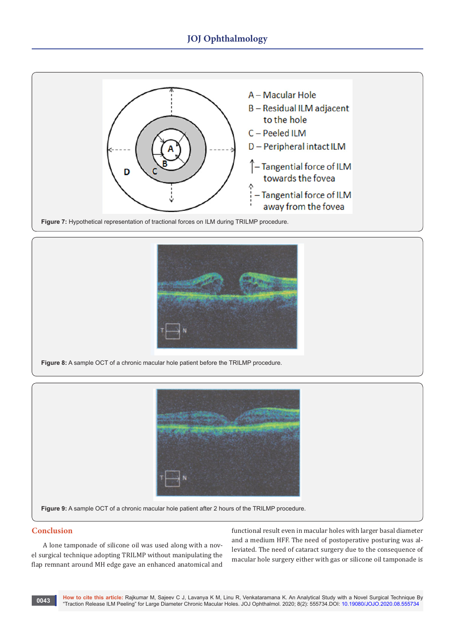# **JOJ Ophthalmology**



**Figure 7:** Hypothetical representation of tractional forces on ILM during TRILMP procedure.



**Figure 8:** A sample OCT of a chronic macular hole patient before the TRILMP procedure.



**Figure 9:** A sample OCT of a chronic macular hole patient after 2 hours of the TRILMP procedure.

# **Conclusion**

A lone tamponade of silicone oil was used along with a novel surgical technique adopting TRILMP without manipulating the flap remnant around MH edge gave an enhanced anatomical and

functional result even in macular holes with larger basal diameter and a medium HFF. The need of postoperative posturing was alleviated. The need of cataract surgery due to the consequence of macular hole surgery either with gas or silicone oil tamponade is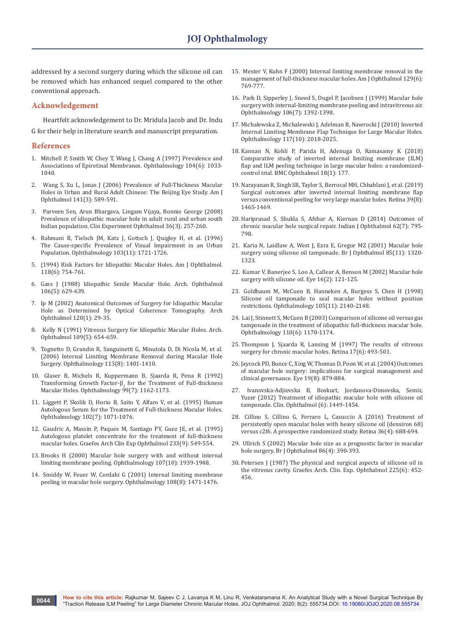addressed by a second surgery during which the silicone oil can be removed which has enhanced sequel compared to the other conventional approach.

## **Acknowledgement**

Heartfelt acknowledgement to Dr. Mridula Jacob and Dr. Indu

G for their help in literature search and manuscript preparation.

## **References**

- 1. [Mitchell P, Smith W, Chey T, Wang J, Chang A \(1997\) Prevalence and](https://www.ncbi.nlm.nih.gov/pubmed/9186446)  [Associations of Epiretinal Membranes. Ophthalmology 104\(6\): 1033-](https://www.ncbi.nlm.nih.gov/pubmed/9186446) [1040.](https://www.ncbi.nlm.nih.gov/pubmed/9186446)
- 2. [Wang S, Xu L, Jonas J \(2006\) Prevalence of Full-Thickness Macular](https://www.ajo.com/article/S0002-9394(05)01108-6/abstract)  [Holes in Urban and Rural Adult Chinese: The Beijing Eye Study. Am J](https://www.ajo.com/article/S0002-9394(05)01108-6/abstract)  [Ophthalmol 141\(3\): 589-591.](https://www.ajo.com/article/S0002-9394(05)01108-6/abstract)
- 3. [Parveen Sen, Arun Bhargava, Lingam Vijaya, Ronnie George \(2008\)](https://onlinelibrary.wiley.com/doi/abs/10.1111/j.1442-9071.2008.01715.x)  [Prevalence of idiopathic macular hole in adult rural and urban south](https://onlinelibrary.wiley.com/doi/abs/10.1111/j.1442-9071.2008.01715.x)  [Indian population. Clin Experiment Ophthalmol 36\(3\): 257-260.](https://onlinelibrary.wiley.com/doi/abs/10.1111/j.1442-9071.2008.01715.x)
- 4. [Rahmani B, Tielsch JM, Katz J, Gottsch J, Quigley H, et al. \(1996\)](https://www.ncbi.nlm.nih.gov/pubmed/8942862)  [The Cause-specific Prevalence of Visual Impairment in an Urban](https://www.ncbi.nlm.nih.gov/pubmed/8942862)  [Population. Ophthalmology 103\(11\): 1721-1726.](https://www.ncbi.nlm.nih.gov/pubmed/8942862)
- 5. [\(1994\) Risk Factors for Idiopathic Macular Holes. Am J Ophthalmol.](https://www.ajo.com/article/S0002-9394(14)72555-3/fulltext)  [118\(6\): 754-761.](https://www.ajo.com/article/S0002-9394(14)72555-3/fulltext)
- 6. [Gass J \(1988\) Idiopathic Senile Macular Hole. Arch. Ophthalmol](https://www.ncbi.nlm.nih.gov/pubmed/3358729)  [106\(5\): 629-639.](https://www.ncbi.nlm.nih.gov/pubmed/3358729)
- 7. [Ip M \(2002\) Anatomical Outcomes of Surgery for Idiopathic Macular](https://www.ncbi.nlm.nih.gov/pubmed/11786054)  [Hole as Determined by Optical Coherence Tomography. Arch](https://www.ncbi.nlm.nih.gov/pubmed/11786054)  [Ophthalmol 120\(1\): 29-35.](https://www.ncbi.nlm.nih.gov/pubmed/11786054)
- Kelly N (1991) Vitreous Surgery for Idiopathic Macular Holes. Arch. [Ophthalmol 109\(5\): 654-659.](https://www.ncbi.nlm.nih.gov/pubmed/2025167)
- 9. [Tognetto D, Grandin R, Sanguinetti G, Minutola D, Di Nicola M, et al.](https://www.ncbi.nlm.nih.gov/pubmed/16877079)  [\(2006\) Internal Limiting Membrane Removal during Macular Hole](https://www.ncbi.nlm.nih.gov/pubmed/16877079)  [Surgery. Ophthalmology 113\(8\): 1401-1410.](https://www.ncbi.nlm.nih.gov/pubmed/16877079)
- 10. [Glaser B, Michels R, Kuppermann B, Sjaarda R, Pena R \(1992\)](https://www.ncbi.nlm.nih.gov/pubmed/1495798)  Transforming Growth Factor- $\beta_2$  for the Treatment of Full-thickness [Macular Holes. Ophthalmology 99\(7\): 1162-1173.](https://www.ncbi.nlm.nih.gov/pubmed/1495798)
- 11. [Liggett P, Skolik D, Horio B, Saito Y, Alfaro V, et al. \(1995\) Human](https://www.ncbi.nlm.nih.gov/pubmed/9121755)  [Autologous Serum for the Treatment of Full-thickness Macular Holes.](https://www.ncbi.nlm.nih.gov/pubmed/9121755)  [Ophthalmology 102\(7\): 1071-1076.](https://www.ncbi.nlm.nih.gov/pubmed/9121755)
- 12. [Gaudric A, Massin P, Paques M, Santiago PY, Guez JE, et al. \(1995\)](https://www.ncbi.nlm.nih.gov/pubmed/8543204)  [Autologous platelet concentrate for the treatment of full-thickness](https://www.ncbi.nlm.nih.gov/pubmed/8543204)  [macular holes. Graefes Arch Clin Exp Ophthalmol 233\(9\): 549-554.](https://www.ncbi.nlm.nih.gov/pubmed/8543204)
- 13. [Brooks H \(2000\) Macular hole surgery with and without internal](https://www.ncbi.nlm.nih.gov/pubmed/11013203)  [limiting membrane peeling. Ophthalmology 107\(10\): 1939-1948.](https://www.ncbi.nlm.nih.gov/pubmed/11013203)
- 14. [Smiddy W, Feuer W, Cordahi G \(2001\) Internal limiting membrane](https://www.ncbi.nlm.nih.gov/pubmed/11470703)  [peeling in macular hole surgery. Ophthalmology 108\(8\): 1471-1476.](https://www.ncbi.nlm.nih.gov/pubmed/11470703)
- 15. [Mester V, Kuhn F \(2000\) Internal limiting membrane removal in the](https://www.ncbi.nlm.nih.gov/pubmed/10926987)  [management of full-thickness macular holes. Am J Ophthalmol 129\(6\):](https://www.ncbi.nlm.nih.gov/pubmed/10926987)  [769-777.](https://www.ncbi.nlm.nih.gov/pubmed/10926987)
- 16. [Park D, Sipperley J, Sneed S, Dugel P, Jacobsen J \(1999\) Macular hole](https://www.ncbi.nlm.nih.gov/pubmed/10406628)  [surgery with internal-limiting membrane peeling and intravitreous air.](https://www.ncbi.nlm.nih.gov/pubmed/10406628)  [Ophthalmology 106\(7\): 1392-1398.](https://www.ncbi.nlm.nih.gov/pubmed/10406628)
- 17. [Michalewska Z, Michalewski J, Adelman R, Nawrocki J \(2010\) Inverted](https://www.ncbi.nlm.nih.gov/pubmed/20541263)  [Internal Limiting Membrane Flap Technique for Large Macular Holes.](https://www.ncbi.nlm.nih.gov/pubmed/20541263)  [Ophthalmology 117\(10\): 2018-2025.](https://www.ncbi.nlm.nih.gov/pubmed/20541263)
- 18. [Kannan N, Kohli P, Parida H, Adenuga O, Ramasamy K \(2018\)](https://www.ncbi.nlm.nih.gov/pubmed/30029621)  [Comparative study of inverted internal limiting membrane \(ILM\)](https://www.ncbi.nlm.nih.gov/pubmed/30029621)  [flap and ILM peeling technique in large macular holes: a randomized](https://www.ncbi.nlm.nih.gov/pubmed/30029621)[control trial. BMC Ophthalmol 18\(1\): 177.](https://www.ncbi.nlm.nih.gov/pubmed/30029621)
- 19. [Narayanan R, Singh SR, Taylor S, Berrocal MH, Chhablani J, et al. \(2019\)](https://www.ncbi.nlm.nih.gov/pubmed/29689027)  [Surgical outcomes after inverted internal limiting membrane flap](https://www.ncbi.nlm.nih.gov/pubmed/29689027)  [versus conventional peeling for very large macular holes. Retina 39\(8\):](https://www.ncbi.nlm.nih.gov/pubmed/29689027)  [1465-1469.](https://www.ncbi.nlm.nih.gov/pubmed/29689027)
- 20. [Hariprasad S, Shukla S, Afshar A, Kiernan D \(2014\) Outcomes of](https://www.ncbi.nlm.nih.gov/pubmed/25116773)  [chronic macular hole surgical repair. Indian J Ophthalmol 62\(7\): 795-](https://www.ncbi.nlm.nih.gov/pubmed/25116773) [798.](https://www.ncbi.nlm.nih.gov/pubmed/25116773)
- 21. [Karia N, Laidlaw A, West J, Ezra E, Gregor MZ \(2001\) Macular hole](https://bjo.bmj.com/content/85/11/1320)  [surgery using silicone oil tamponade. Br J Ophthalmol 85\(11\): 1320-](https://bjo.bmj.com/content/85/11/1320) [1323.](https://bjo.bmj.com/content/85/11/1320)
- 22. [Kumar V, Banerjee S, Loo A, Callear A, Benson M \(2002\) Macular hole](https://www.nature.com/articles/6700029?foxtrotcallback=true)  [surgery with silicone oil. Eye 16\(2\): 121-125](https://www.nature.com/articles/6700029?foxtrotcallback=true).
- 23. [Goldbaum M, McCuen B, Hanneken A, Burgess S, Chen H \(1998\)](https://www.aaojournal.org/article/S0161-6420(01)00688-1/fulltext)  [Silicone oil tamponade to seal macular holes without position](https://www.aaojournal.org/article/S0161-6420(01)00688-1/fulltext)  [restrictions. Ophthalmology 105\(11\): 2140-2148.](https://www.aaojournal.org/article/S0161-6420(01)00688-1/fulltext)
- 24. [Lai J, Stinnett S, McCuen B \(2003\) Comparison of silicone oil versus gas](https://www.aaojournal.org/article/S0161-6420(03)00264-1/fulltext)  [tamponade in the treatment of idiopathic full-thickness macular hole.](https://www.aaojournal.org/article/S0161-6420(03)00264-1/fulltext)  [Ophthalmology 110\(6\): 1170-1174.](https://www.aaojournal.org/article/S0161-6420(03)00264-1/fulltext)
- 25. [Thompson J, Sjaarda R, Lansing M \(1997\) The results of vitreous](https://www.ncbi.nlm.nih.gov/pubmed/9428011)  [surgery for chronic macular holes. Retina 17\(6\): 493-501.](https://www.ncbi.nlm.nih.gov/pubmed/9428011)
- 26. [Jaycock PD, Bunce C, Xing W, Thomas D, Poon W, et al. \(2004\) Outcomes](https://www.nature.com/articles/6701679)  [of macular hole surgery: implications for surgical management and](https://www.nature.com/articles/6701679)  [clinical governance. Eye 19\(8\): 879-884.](https://www.nature.com/articles/6701679)
- 27. [Ivanovska-Adjievska B, Boskurt, Jordanova-Dimovska, Semiz,](https://www.ncbi.nlm.nih.gov/pubmed/23055662/)  [Yuzer \(2012\) Treatment of idiopathic macular hole with silicone oil](https://www.ncbi.nlm.nih.gov/pubmed/23055662/)  [tamponade. Clin. Ophthalmol \(6\): 1449-1454.](https://www.ncbi.nlm.nih.gov/pubmed/23055662/)
- 28. [Cillino S, Cillino G, Ferraro L, Casuccio A \(2016\) Treatment of](https://www.ncbi.nlm.nih.gov/pubmed/26418444)  [persistently open macular holes with heavy silicone oil \(densiron 68\)](https://www.ncbi.nlm.nih.gov/pubmed/26418444)  [versus c2f6. A prospective randomized study. Retina 36\(4\): 688-694.](https://www.ncbi.nlm.nih.gov/pubmed/26418444)
- 29. [Ullrich S \(2002\) Macular hole size as a prognostic factor in macular](https://www.ncbi.nlm.nih.gov/pubmed/11914205)  [hole surgery. Br J Ophthalmol 86\(4\): 390-393.](https://www.ncbi.nlm.nih.gov/pubmed/11914205)
- 30. [Petersen J \(1987\) The physical and surgical aspects of silicone oil in](https://www.ncbi.nlm.nih.gov/pubmed/3678857)  [the vitreous cavity. Graefes Arch. Clin. Exp. Ophthalmol 225\(6\): 452-](https://www.ncbi.nlm.nih.gov/pubmed/3678857) [456.](https://www.ncbi.nlm.nih.gov/pubmed/3678857)